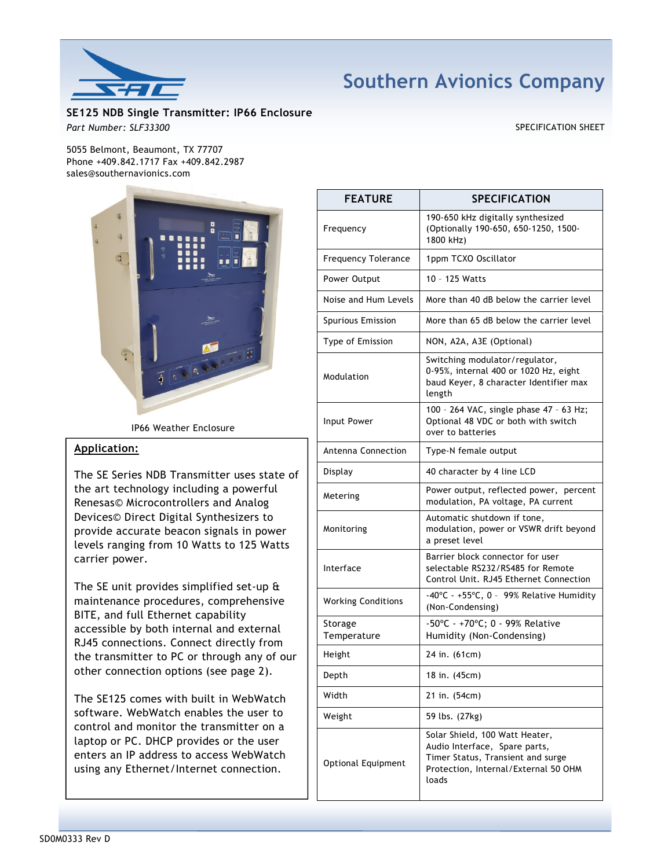

# Southern Avionics Company

SE125 NDB Single Transmitter: IP66 Enclosure Part Number: SLF33300 SPECIFICATION SHEET

5055 Belmont, Beaumont, TX 77707 Phone +409.842.1717 Fax +409.842.2987 sales@southernavionics.com



IP66 Weather Enclosure

# Application:

The SE Series NDB Transmitter uses state of the art technology including a powerful Renesas© Microcontrollers and Analog Devices© Direct Digital Synthesizers to provide accurate beacon signals in power levels ranging from 10 Watts to 125 Watts carrier power.

The SE unit provides simplified set-up & maintenance procedures, comprehensive BITE, and full Ethernet capability accessible by both internal and external RJ45 connections. Connect directly from the transmitter to PC or through any of our other connection options (see page 2).

The SE125 comes with built in WebWatch software. WebWatch enables the user to control and monitor the transmitter on a laptop or PC. DHCP provides or the user enters an IP address to access WebWatch using any Ethernet/Internet connection.

| <b>FEATURE</b>             | <b>SPECIFICATION</b>                                                                                                                                  |
|----------------------------|-------------------------------------------------------------------------------------------------------------------------------------------------------|
| Frequency                  | 190-650 kHz digitally synthesized<br>(Optionally 190-650, 650-1250, 1500-<br>1800 kHz)                                                                |
| <b>Frequency Tolerance</b> | 1ppm TCXO Oscillator                                                                                                                                  |
| Power Output               | 10 - 125 Watts                                                                                                                                        |
| Noise and Hum Levels       | More than 40 dB below the carrier level                                                                                                               |
| <b>Spurious Emission</b>   | More than 65 dB below the carrier level                                                                                                               |
| Type of Emission           | NON, A2A, A3E (Optional)                                                                                                                              |
| Modulation                 | Switching modulator/regulator,<br>0-95%, internal 400 or 1020 Hz, eight<br>baud Keyer, 8 character Identifier max<br>length                           |
| Input Power                | 100 - 264 VAC, single phase 47 - 63 Hz;<br>Optional 48 VDC or both with switch<br>over to batteries                                                   |
| Antenna Connection         | Type-N female output                                                                                                                                  |
| Display                    | 40 character by 4 line LCD                                                                                                                            |
| Metering                   | Power output, reflected power, percent<br>modulation, PA voltage, PA current                                                                          |
| Monitoring                 | Automatic shutdown if tone,<br>modulation, power or VSWR drift beyond<br>a preset level                                                               |
| Interface                  | Barrier block connector for user<br>selectable RS232/RS485 for Remote<br>Control Unit. RJ45 Ethernet Connection                                       |
| <b>Working Conditions</b>  | -40°C - +55°C, 0 - 99% Relative Humidity<br>(Non-Condensing)                                                                                          |
| Storage<br>Temperature     | -50°C - +70°C; 0 - 99% Relative<br>Humidity (Non-Condensing)                                                                                          |
| Height                     | 24 in. (61cm)                                                                                                                                         |
| Depth                      | 18 in. (45cm)                                                                                                                                         |
| Width                      | 21 in. (54cm)                                                                                                                                         |
| Weight                     | 59 lbs. (27kg)                                                                                                                                        |
| Optional Equipment         | Solar Shield, 100 Watt Heater,<br>Audio Interface, Spare parts,<br>Timer Status, Transient and surge<br>Protection, Internal/External 50 OHM<br>loads |